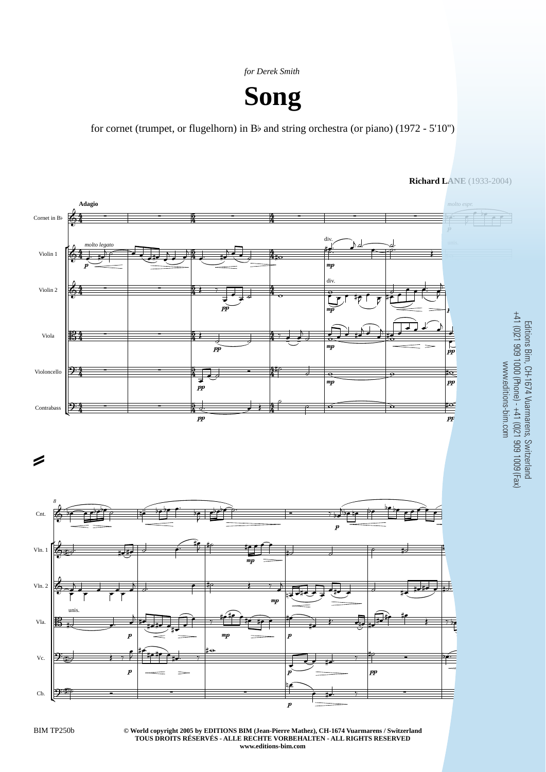*for Derek Smith*



for cornet (trumpet, or flugelhorn) in Bb and string orchestra (or piano) (1972 - 5'10'')



**© World copyright 2005 by EDITIONS BIM (Jean-Pierre Mathez), CH-1674 Vuarmarens / Switzerland** BIM TP250b 3 **TOUS DROITS RÉSERVÉS - ALLE RECHTE VORBEHALTEN - ALL RIGHTS RESERVED www.editions-bim.com**